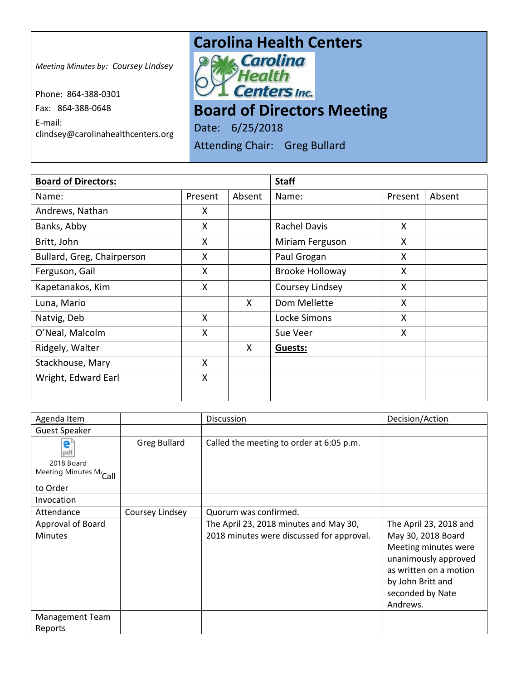## **Carolina Health Centers**<br>**P. M. Carolina**

*Meeting Minutes by: Coursey Lindsey*

Phone: 864-388-0301 Fax: 864-388-0648 E-mail: clindsey@carolinahealthcenters.org **Centers Inc.** 

**Board of Directors Meeting** 

Date: 6/25/2018

Attending Chair: Greg Bullard

| <b>Board of Directors:</b> |         |        | <b>Staff</b>           |         |        |
|----------------------------|---------|--------|------------------------|---------|--------|
| Name:                      | Present | Absent | Name:                  | Present | Absent |
| Andrews, Nathan            | X       |        |                        |         |        |
| Banks, Abby                | X       |        | <b>Rachel Davis</b>    | X       |        |
| Britt, John                | X       |        | Miriam Ferguson        | X       |        |
| Bullard, Greg, Chairperson | X       |        | Paul Grogan            | X       |        |
| Ferguson, Gail             | X       |        | <b>Brooke Holloway</b> | X       |        |
| Kapetanakos, Kim           | X       |        | Coursey Lindsey        | X       |        |
| Luna, Mario                |         | X      | Dom Mellette           | X       |        |
| Natvig, Deb                | X       |        | Locke Simons           | X       |        |
| O'Neal, Malcolm            | X       |        | Sue Veer               | X       |        |
| Ridgely, Walter            |         | X      | Guests:                |         |        |
| Stackhouse, Mary           | X       |        |                        |         |        |
| Wright, Edward Earl        | X       |        |                        |         |        |
|                            |         |        |                        |         |        |

| Agenda Item                       |                     | Discussion                                | Decision/Action        |
|-----------------------------------|---------------------|-------------------------------------------|------------------------|
| <b>Guest Speaker</b>              |                     |                                           |                        |
| e"<br>pdf                         | <b>Greg Bullard</b> | Called the meeting to order at 6:05 p.m.  |                        |
| 2018 Board                        |                     |                                           |                        |
| Meeting Minutes M <sub>call</sub> |                     |                                           |                        |
| to Order                          |                     |                                           |                        |
| Invocation                        |                     |                                           |                        |
| Attendance                        | Coursey Lindsey     | Quorum was confirmed.                     |                        |
| Approval of Board                 |                     | The April 23, 2018 minutes and May 30,    | The April 23, 2018 and |
| <b>Minutes</b>                    |                     | 2018 minutes were discussed for approval. | May 30, 2018 Board     |
|                                   |                     |                                           | Meeting minutes were   |
|                                   |                     |                                           | unanimously approved   |
|                                   |                     |                                           | as written on a motion |
|                                   |                     |                                           | by John Britt and      |
|                                   |                     |                                           | seconded by Nate       |
|                                   |                     |                                           | Andrews.               |
| Management Team                   |                     |                                           |                        |
| Reports                           |                     |                                           |                        |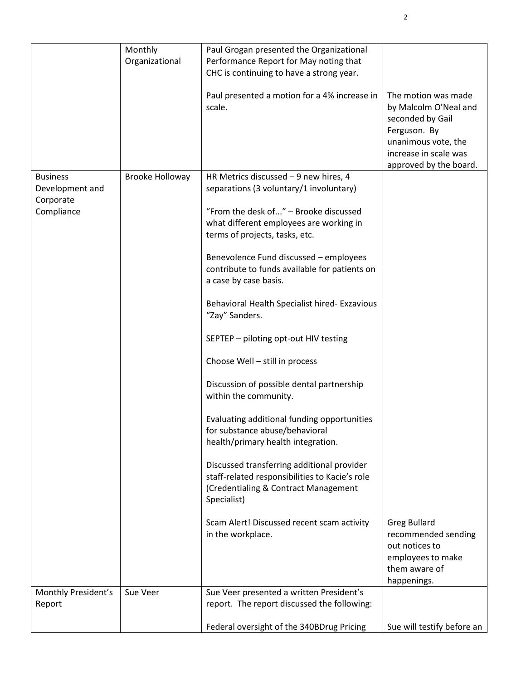|                     | Monthly         | Paul Grogan presented the Organizational                                                |                                                                                                                                                            |
|---------------------|-----------------|-----------------------------------------------------------------------------------------|------------------------------------------------------------------------------------------------------------------------------------------------------------|
|                     | Organizational  | Performance Report for May noting that                                                  |                                                                                                                                                            |
|                     |                 | CHC is continuing to have a strong year.                                                |                                                                                                                                                            |
|                     |                 | Paul presented a motion for a 4% increase in<br>scale.                                  | The motion was made<br>by Malcolm O'Neal and<br>seconded by Gail<br>Ferguson. By<br>unanimous vote, the<br>increase in scale was<br>approved by the board. |
| <b>Business</b>     | Brooke Holloway | HR Metrics discussed - 9 new hires, 4                                                   |                                                                                                                                                            |
| Development and     |                 | separations (3 voluntary/1 involuntary)                                                 |                                                                                                                                                            |
| Corporate           |                 |                                                                                         |                                                                                                                                                            |
| Compliance          |                 | "From the desk of" - Brooke discussed                                                   |                                                                                                                                                            |
|                     |                 | what different employees are working in                                                 |                                                                                                                                                            |
|                     |                 | terms of projects, tasks, etc.                                                          |                                                                                                                                                            |
|                     |                 |                                                                                         |                                                                                                                                                            |
|                     |                 | Benevolence Fund discussed - employees<br>contribute to funds available for patients on |                                                                                                                                                            |
|                     |                 | a case by case basis.                                                                   |                                                                                                                                                            |
|                     |                 |                                                                                         |                                                                                                                                                            |
|                     |                 | Behavioral Health Specialist hired- Exzavious                                           |                                                                                                                                                            |
|                     |                 | "Zay" Sanders.                                                                          |                                                                                                                                                            |
|                     |                 |                                                                                         |                                                                                                                                                            |
|                     |                 | SEPTEP - piloting opt-out HIV testing                                                   |                                                                                                                                                            |
|                     |                 |                                                                                         |                                                                                                                                                            |
|                     |                 | Choose Well - still in process                                                          |                                                                                                                                                            |
|                     |                 |                                                                                         |                                                                                                                                                            |
|                     |                 | Discussion of possible dental partnership                                               |                                                                                                                                                            |
|                     |                 | within the community.                                                                   |                                                                                                                                                            |
|                     |                 | Evaluating additional funding opportunities                                             |                                                                                                                                                            |
|                     |                 | for substance abuse/behavioral                                                          |                                                                                                                                                            |
|                     |                 | health/primary health integration.                                                      |                                                                                                                                                            |
|                     |                 |                                                                                         |                                                                                                                                                            |
|                     |                 | Discussed transferring additional provider                                              |                                                                                                                                                            |
|                     |                 | staff-related responsibilities to Kacie's role                                          |                                                                                                                                                            |
|                     |                 | (Credentialing & Contract Management                                                    |                                                                                                                                                            |
|                     |                 | Specialist)                                                                             |                                                                                                                                                            |
|                     |                 |                                                                                         |                                                                                                                                                            |
|                     |                 | Scam Alert! Discussed recent scam activity                                              | <b>Greg Bullard</b>                                                                                                                                        |
|                     |                 | in the workplace.                                                                       | recommended sending<br>out notices to                                                                                                                      |
|                     |                 |                                                                                         | employees to make                                                                                                                                          |
|                     |                 |                                                                                         | them aware of                                                                                                                                              |
|                     |                 |                                                                                         | happenings.                                                                                                                                                |
| Monthly President's | Sue Veer        | Sue Veer presented a written President's                                                |                                                                                                                                                            |
| Report              |                 | report. The report discussed the following:                                             |                                                                                                                                                            |
|                     |                 |                                                                                         |                                                                                                                                                            |
|                     |                 | Federal oversight of the 340BDrug Pricing                                               | Sue will testify before an                                                                                                                                 |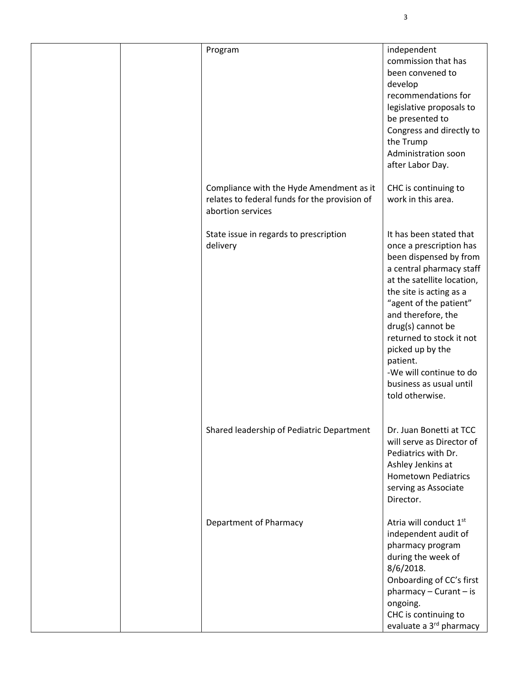|  | Program                                                                                                        | independent<br>commission that has<br>been convened to<br>develop<br>recommendations for<br>legislative proposals to<br>be presented to<br>Congress and directly to<br>the Trump<br><b>Administration soon</b><br>after Labor Day.                                                                                                                                          |
|--|----------------------------------------------------------------------------------------------------------------|-----------------------------------------------------------------------------------------------------------------------------------------------------------------------------------------------------------------------------------------------------------------------------------------------------------------------------------------------------------------------------|
|  | Compliance with the Hyde Amendment as it<br>relates to federal funds for the provision of<br>abortion services | CHC is continuing to<br>work in this area.                                                                                                                                                                                                                                                                                                                                  |
|  | State issue in regards to prescription<br>delivery                                                             | It has been stated that<br>once a prescription has<br>been dispensed by from<br>a central pharmacy staff<br>at the satellite location,<br>the site is acting as a<br>"agent of the patient"<br>and therefore, the<br>drug(s) cannot be<br>returned to stock it not<br>picked up by the<br>patient.<br>-We will continue to do<br>business as usual until<br>told otherwise. |
|  | Shared leadership of Pediatric Department                                                                      | Dr. Juan Bonetti at TCC<br>will serve as Director of<br>Pediatrics with Dr.<br>Ashley Jenkins at<br><b>Hometown Pediatrics</b><br>serving as Associate<br>Director.                                                                                                                                                                                                         |
|  | <b>Department of Pharmacy</b>                                                                                  | Atria will conduct 1st<br>independent audit of<br>pharmacy program<br>during the week of<br>$8/6/2018$ .<br>Onboarding of CC's first<br>$pharmacy - Curant - is$<br>ongoing.<br>CHC is continuing to<br>evaluate a 3 <sup>rd</sup> pharmacy                                                                                                                                 |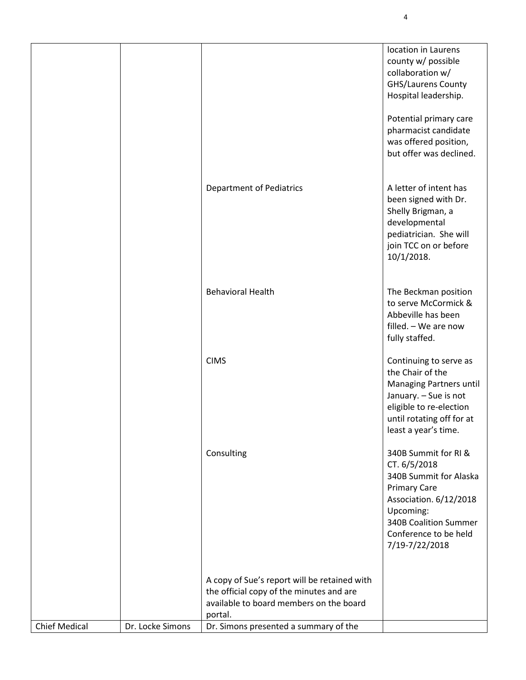|                      |                  |                                                                                                                                                | location in Laurens<br>county w/ possible<br>collaboration w/<br><b>GHS/Laurens County</b><br>Hospital leadership.<br>Potential primary care<br>pharmacist candidate<br>was offered position,<br>but offer was declined. |
|----------------------|------------------|------------------------------------------------------------------------------------------------------------------------------------------------|--------------------------------------------------------------------------------------------------------------------------------------------------------------------------------------------------------------------------|
|                      |                  | <b>Department of Pediatrics</b>                                                                                                                | A letter of intent has<br>been signed with Dr.<br>Shelly Brigman, a<br>developmental<br>pediatrician. She will<br>join TCC on or before<br>10/1/2018.                                                                    |
|                      |                  | <b>Behavioral Health</b>                                                                                                                       | The Beckman position<br>to serve McCormick &<br>Abbeville has been<br>filled. - We are now<br>fully staffed.                                                                                                             |
|                      |                  | <b>CIMS</b>                                                                                                                                    | Continuing to serve as<br>the Chair of the<br>Managing Partners until<br>January. - Sue is not<br>eligible to re-election<br>until rotating off for at<br>least a year's time.                                           |
|                      |                  | Consulting                                                                                                                                     | 340B Summit for RI &<br>CT. 6/5/2018<br>340B Summit for Alaska<br><b>Primary Care</b><br>Association. 6/12/2018<br>Upcoming:<br><b>340B Coalition Summer</b><br>Conference to be held<br>7/19-7/22/2018                  |
|                      |                  | A copy of Sue's report will be retained with<br>the official copy of the minutes and are<br>available to board members on the board<br>portal. |                                                                                                                                                                                                                          |
| <b>Chief Medical</b> | Dr. Locke Simons | Dr. Simons presented a summary of the                                                                                                          |                                                                                                                                                                                                                          |